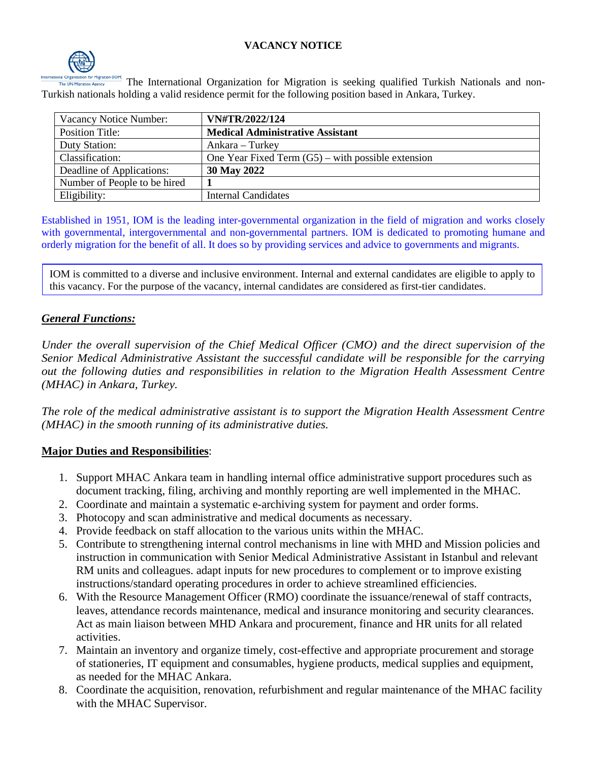### **VACANCY NOTICE**



The International Organization for Migration is seeking qualified Turkish Nationals and non-Turkish nationals holding a valid residence permit for the following position based in Ankara, Turkey.

| Vacancy Notice Number:       | VN#TR/2022/124                                       |
|------------------------------|------------------------------------------------------|
| Position Title:              | <b>Medical Administrative Assistant</b>              |
| Duty Station:                | Ankara – Turkey                                      |
| Classification:              | One Year Fixed Term $(G5)$ – with possible extension |
| Deadline of Applications:    | 30 May 2022                                          |
| Number of People to be hired |                                                      |
| Eligibility:                 | <b>Internal Candidates</b>                           |

Established in 1951, IOM is the leading inter-governmental organization in the field of migration and works closely with governmental, intergovernmental and non-governmental partners. IOM is dedicated to promoting humane and orderly migration for the benefit of all. It does so by providing services and advice to governments and migrants.

IOM is committed to a diverse and inclusive environment. Internal and external candidates are eligible to apply to this vacancy. For the purpose of the vacancy, internal candidates are considered as first-tier candidates.

### *General Functions:*

*Under the overall supervision of the Chief Medical Officer (CMO) and the direct supervision of the Senior Medical Administrative Assistant the successful candidate will be responsible for the carrying out the following duties and responsibilities in relation to the Migration Health Assessment Centre (MHAC) in Ankara, Turkey.*

*The role of the medical administrative assistant is to support the Migration Health Assessment Centre (MHAC) in the smooth running of its administrative duties.*

### **Major Duties and Responsibilities**:

- 1. Support MHAC Ankara team in handling internal office administrative support procedures such as document tracking, filing, archiving and monthly reporting are well implemented in the MHAC.
- 2. Coordinate and maintain a systematic e-archiving system for payment and order forms.
- 3. Photocopy and scan administrative and medical documents as necessary.
- 4. Provide feedback on staff allocation to the various units within the MHAC.
- 5. Contribute to strengthening internal control mechanisms in line with MHD and Mission policies and instruction in communication with Senior Medical Administrative Assistant in Istanbul and relevant RM units and colleagues. adapt inputs for new procedures to complement or to improve existing instructions/standard operating procedures in order to achieve streamlined efficiencies.
- 6. With the Resource Management Officer (RMO) coordinate the issuance/renewal of staff contracts, leaves, attendance records maintenance, medical and insurance monitoring and security clearances. Act as main liaison between MHD Ankara and procurement, finance and HR units for all related activities.
- 7. Maintain an inventory and organize timely, cost-effective and appropriate procurement and storage of stationeries, IT equipment and consumables, hygiene products, medical supplies and equipment, as needed for the MHAC Ankara.
- 8. Coordinate the acquisition, renovation, refurbishment and regular maintenance of the MHAC facility with the MHAC Supervisor.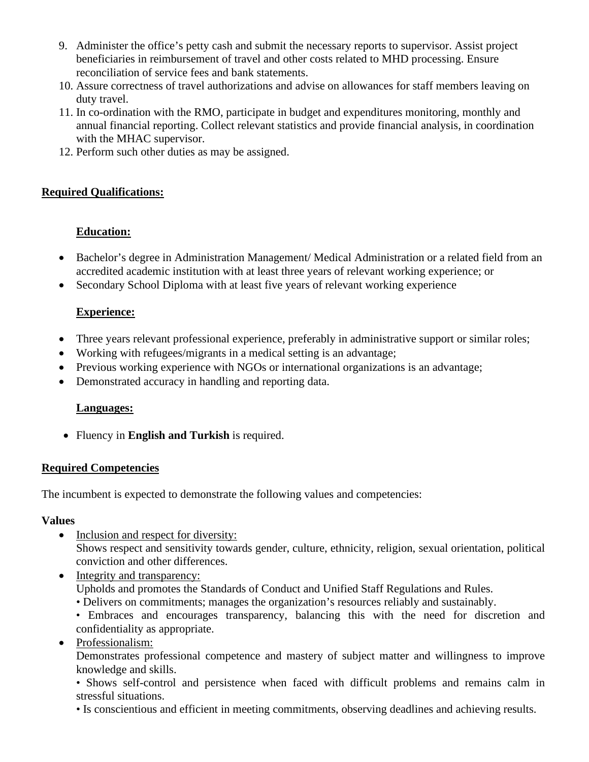- 9. Administer the office's petty cash and submit the necessary reports to supervisor. Assist project beneficiaries in reimbursement of travel and other costs related to MHD processing. Ensure reconciliation of service fees and bank statements.
- 10. Assure correctness of travel authorizations and advise on allowances for staff members leaving on duty travel.
- 11. In co-ordination with the RMO, participate in budget and expenditures monitoring, monthly and annual financial reporting. Collect relevant statistics and provide financial analysis, in coordination with the MHAC supervisor.
- 12. Perform such other duties as may be assigned.

## **Required Qualifications:**

# **Education:**

- Bachelor's degree in Administration Management/ Medical Administration or a related field from an accredited academic institution with at least three years of relevant working experience; or
- Secondary School Diploma with at least five years of relevant working experience

# **Experience:**

- Three years relevant professional experience, preferably in administrative support or similar roles;
- Working with refugees/migrants in a medical setting is an advantage;
- Previous working experience with NGOs or international organizations is an advantage;
- Demonstrated accuracy in handling and reporting data.

### **Languages:**

• Fluency in **English and Turkish** is required.

### **Required Competencies**

The incumbent is expected to demonstrate the following values and competencies:

### **Values**

- Inclusion and respect for diversity: Shows respect and sensitivity towards gender, culture, ethnicity, religion, sexual orientation, political conviction and other differences.
- Integrity and transparency: Upholds and promotes the Standards of Conduct and Unified Staff Regulations and Rules. • Delivers on commitments; manages the organization's resources reliably and sustainably.
	- Embraces and encourages transparency, balancing this with the need for discretion and confidentiality as appropriate.
- Professionalism:

Demonstrates professional competence and mastery of subject matter and willingness to improve knowledge and skills.

• Shows self-control and persistence when faced with difficult problems and remains calm in stressful situations.

• Is conscientious and efficient in meeting commitments, observing deadlines and achieving results.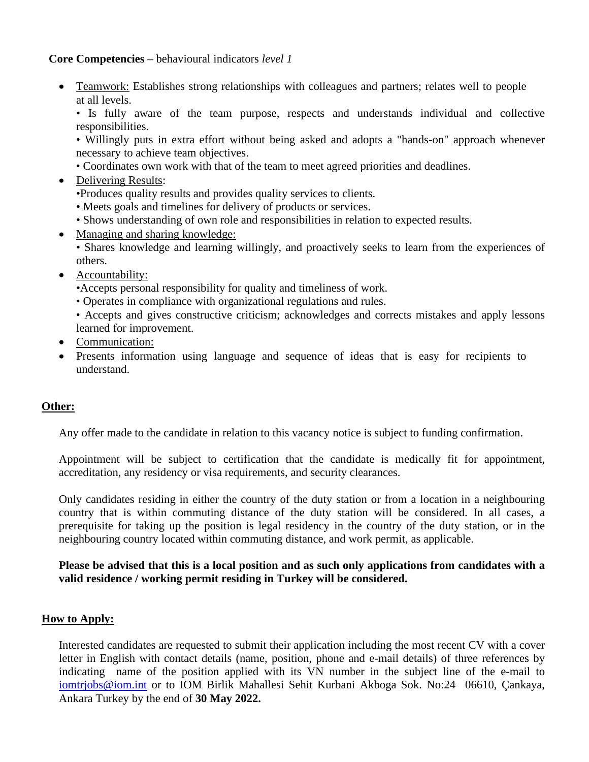#### **Core Competencies** – behavioural indicators *level 1*

• Teamwork: Establishes strong relationships with colleagues and partners; relates well to people at all levels.

• Is fully aware of the team purpose, respects and understands individual and collective responsibilities.

• Willingly puts in extra effort without being asked and adopts a "hands-on" approach whenever necessary to achieve team objectives.

- Coordinates own work with that of the team to meet agreed priorities and deadlines.
- Delivering Results:
	- •Produces quality results and provides quality services to clients.
	- Meets goals and timelines for delivery of products or services.
	- Shows understanding of own role and responsibilities in relation to expected results.
- Managing and sharing knowledge:
	- Shares knowledge and learning willingly, and proactively seeks to learn from the experiences of others.
- Accountability:
	- •Accepts personal responsibility for quality and timeliness of work.
	- Operates in compliance with organizational regulations and rules.
	- Accepts and gives constructive criticism; acknowledges and corrects mistakes and apply lessons learned for improvement.
- Communication:
- Presents information using language and sequence of ideas that is easy for recipients to understand.

#### **Other:**

Any offer made to the candidate in relation to this vacancy notice is subject to funding confirmation.

Appointment will be subject to certification that the candidate is medically fit for appointment, accreditation, any residency or visa requirements, and security clearances.

Only candidates residing in either the country of the duty station or from a location in a neighbouring country that is within commuting distance of the duty station will be considered. In all cases, a prerequisite for taking up the position is legal residency in the country of the duty station, or in the neighbouring country located within commuting distance, and work permit, as applicable.

**Please be advised that this is a local position and as such only applications from candidates with a valid residence / working permit residing in Turkey will be considered.**

#### **How to Apply:**

Interested candidates are requested to submit their application including the most recent CV with a cover letter in English with contact details (name, position, phone and e-mail details) of three references by indicating name of the position applied with its VN number in the subject line of the e-mail to [iomtrjobs@iom.int](mailto:iomtrjobs@iom.int) or to IOM Birlik Mahallesi Sehit Kurbani Akboga Sok. No:24 06610, Çankaya, Ankara Turkey by the end of **30 May 2022.**